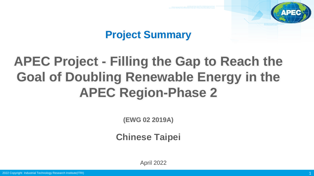

# **Project Summary**

# **APEC Project - Filling the Gap to Reach the Goal of Doubling Renewable Energy in the APEC Region-Phase 2**

**(EWG 02 2019A)**

**Chinese Taipei**

April 2022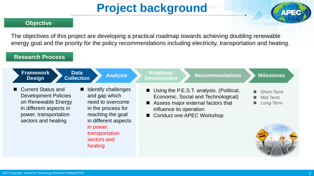# **Project background**



#### **Objective**

The objectives of this project are developing a practical roadmap towards achieving doubling renewable energy goal and the priority for the policy recommendations including electricity, transportation and heating.

#### **Research Process**

| <b>Framework</b><br><b>Data</b><br><b>Analysis</b><br><b>Collection</b><br><b>Design</b>                                                                                                                                                                                                                                                                        | Roadmap<br><b>Recommendations</b><br><b>Development</b>                                                                                                                           | <b>Milestones</b>                                                              |
|-----------------------------------------------------------------------------------------------------------------------------------------------------------------------------------------------------------------------------------------------------------------------------------------------------------------------------------------------------------------|-----------------------------------------------------------------------------------------------------------------------------------------------------------------------------------|--------------------------------------------------------------------------------|
| ■ Current Status and<br>Identify challenges<br>$\blacksquare$<br>and gap which<br><b>Development Policies</b><br>on Renewable Energy<br>need to overcome<br>in different aspects in<br>in the process for<br>power, transportation<br>reaching the goal<br>sectors and heating<br>in different aspects<br>in power,<br>transportation<br>sectors and<br>heating | ■ Using the P.E.S.T. analysis. (Political,<br>Economic, Social and Technological)<br>Assess major external factors that<br>influence its operation<br>■ Conduct one APEC Workshop | ٠<br><b>Short-Term</b><br>Mid-Term<br><b>Co</b><br>Long-Term<br>$\mathbb{R}^n$ |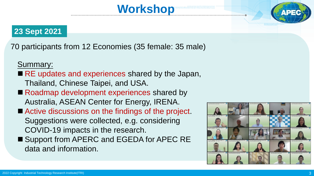### **23 Sept 2021**

70 participants from 12 Economies (35 female: 35 male)

**Workshop**

Summary:

- RE updates and experiences shared by the Japan, Thailand, Chinese Taipei, and USA.
- Roadmap development experiences shared by Australia, ASEAN Center for Energy, IRENA.
- Active discussions on the findings of the project. Suggestions were collected, e.g. considering COVID-19 impacts in the research.
- Support from APERC and EGEDA for APEC RE data and information.

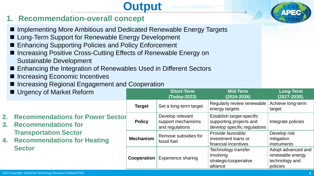### **1. Recommendation-overall concept**

■ Implementing More Ambitious and Dedicated Renewable Energy Targets

**Output**

- Long-Term Support for Renewable Energy Development
- Enhancing Supporting Policies and Policy Enforcement
- Increasing Positive Cross-Cutting Effects of Renewable Energy on Sustainable Development
- Enhancing the Integration of Renewables Used in Different Sectors
- Increasing Economic Incentives
- Increasing Regional Engagement and Cooperation

|                                                                    | Urgency of Market Reform                                                      |                                     | <b>Short-Term</b><br>(Today-2023)                                | <b>Mid-Term</b><br>$(2024 - 2026)$                                                   | <b>Long-Term</b><br>$(2027 - 2030).$                                 |
|--------------------------------------------------------------------|-------------------------------------------------------------------------------|-------------------------------------|------------------------------------------------------------------|--------------------------------------------------------------------------------------|----------------------------------------------------------------------|
|                                                                    |                                                                               | <b>Target</b>                       | Set a long-term target                                           | Regularly review renewable<br>energy targets                                         | Achieve long-term<br>target                                          |
|                                                                    | <b>Recommendations for Power Sector</b><br><b>Recommendations for</b><br>$3-$ | <b>Policy</b>                       | Develop relevant<br>support mechanisms<br>and regulations        | Establish target-specific<br>supporting projects and<br>develop specific regulations | Integrate policies                                                   |
| <b>Transportation Sector</b><br><b>Recommendations for Heating</b> | <b>Mechanism</b>                                                              | Remove subsidies for<br>fossil fuel | Provide favorable<br>investment loans or<br>financial incentives | Develop risk<br>mitigation<br><i>instruments</i>                                     |                                                                      |
|                                                                    | <b>Sector</b>                                                                 | <b>Cooperation</b>                  | <b>Experience sharing</b>                                        | Technology transfer<br>involving<br>strategic/cooperative<br>alliance                | Adopt advanced and<br>renewable energy<br>technology and<br>policies |

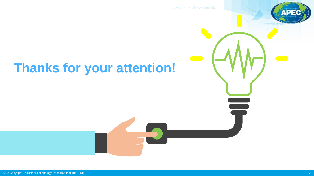

# **Thanks for your attention!**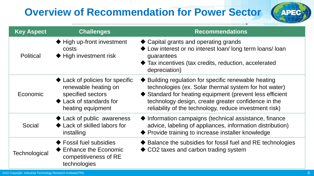# **Overview of Recommendation for Power Sector**



| <b>Key Aspect</b> | <b>Challenges</b>                                                                                                                        | <b>Recommendations</b>                                                                                                                                                                                                                                                                     |
|-------------------|------------------------------------------------------------------------------------------------------------------------------------------|--------------------------------------------------------------------------------------------------------------------------------------------------------------------------------------------------------------------------------------------------------------------------------------------|
| <b>Political</b>  | High up-front investment<br>costs<br>◆ High investment risk                                                                              | ◆ Capital grants and operating grands<br>◆ Low interest or no interest loan/long term loans/loan<br>guarantees<br>• Tax incentives (tax credits, reduction, accelerated<br>depreciation)                                                                                                   |
| Economic          | Lack of policies for specific<br>renewable heating on<br>specified sectors<br>$\blacklozenge$ Lack of standards for<br>heating equipment | ◆ Building regulation for specific renewable heating<br>technologies (ex. Solar thermal system for hot water)<br>♦ Standard for heating equipment (prevent less efficient<br>technology design, create greater confidence in the<br>reliability of the technology, reduce investment risk) |
| Social            | Lack of public awareness<br>Lack of skilled labors for<br>installing                                                                     | • Information campaigns (technical assistance, finance<br>advice, labeling of appliances, information distribution)<br>◆ Provide training to increase installer knowledge                                                                                                                  |
| Technological     | ◆ Fossil fuel subsidies<br>$\blacklozenge$ Enhance the Economic<br>competitiveness of RE<br>technologies                                 | ◆ Balance the subsidies for fossil fuel and RE technologies<br>◆ CO2 taxes and carbon trading system                                                                                                                                                                                       |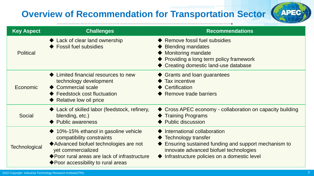## **Overview of Recommendation for Transportation Sector**



| <b>Key Aspect</b> | <b>Challenges</b>                                                                                                                                                                                                                         | <b>Recommendations</b>                                                                                                                                                                             |
|-------------------|-------------------------------------------------------------------------------------------------------------------------------------------------------------------------------------------------------------------------------------------|----------------------------------------------------------------------------------------------------------------------------------------------------------------------------------------------------|
| <b>Political</b>  | ◆ Lack of clear land ownership<br>◆ Fossil fuel subsidies                                                                                                                                                                                 | ◆ Remove fossil fuel subsidies<br><b>Blending mandates</b><br><b>Monitoring mandate</b><br>♦ Providing a long term policy framework<br>◆ Creating domestic land-use database                       |
| Economic          | Limited financial resources to new<br>technology development<br>◆ Commercial scale<br>♦ Feedstock cost fluctuation<br>Relative low oil price                                                                                              | $\blacklozenge$ Grants and loan guarantees<br><b>Tax incentive</b><br>Certification<br>Remove trade barriers                                                                                       |
| Social            | ◆ Lack of skilled labor (feedstock, refinery,<br>blending, etc.)<br>◆ Public awareness                                                                                                                                                    | ◆ Cross APEC economy - collaboration on capacity building<br>◆ Training Programs<br><b>Public discussion</b>                                                                                       |
| Technological     | $\blacklozenge$ 10%-15% ethanol in gasoline vehicle<br>compatibility constraints<br>◆ Advanced biofuel technologies are not<br>yet commercialized<br>◆ Poor rural areas are lack of infrastructure<br>◆ Poor accessibility to rural areas | International collaboration<br>Technology transfer<br>Ensuring sustained funding and support mechanism to<br>innovate advanced biofuel technologies<br>Infrastructure policies on a domestic level |